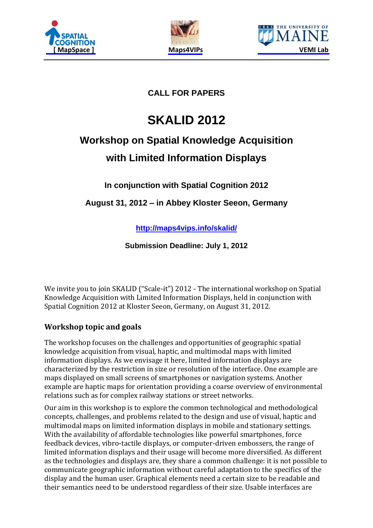





## **CALL FOR PAPERS**

# **SKALID 2012**

# **Workshop on Spatial Knowledge Acquisition with Limited Information Displays**

**In conjunction with Spatial Cognition 2012**

**August 31, 2012 – in Abbey Kloster Seeon, Germany**

**<http://maps4vips.info/skalid/>**

**Submission Deadline: July 1, 2012**

We invite you to join SKALID ("Scale-it") 2012 - The international workshop on Spatial Knowledge Acquisition with Limited Information Displays, held in conjunction with [Spatial Cognition 2012](http://www.spatial-cognition.de/sc2012/) at Kloster Seeon, Germany, on August 31, 2012.

### **Workshop topic and goals**

The workshop focuses on the challenges and opportunities of geographic spatial knowledge acquisition from visual, haptic, and multimodal maps with limited information displays. As we envisage it here, limited information displays are characterized by the restriction in size or resolution of the interface. One example are maps displayed on small screens of smartphones or navigation systems. Another example are haptic maps for orientation providing a coarse overview of environmental relations such as for complex railway stations or street networks.

Our aim in this workshop is to explore the common technological and methodological concepts, challenges, and problems related to the design and use of visual, haptic and multimodal maps on limited information displays in mobile and stationary settings. With the availability of affordable technologies like powerful smartphones, force feedback devices, vibro-tactile displays, or computer-driven embossers, the range of limited information displays and their usage will become more diversified. As different as the technologies and displays are, they share a common challenge: it is not possible to communicate geographic information without careful adaptation to the specifics of the display and the human user. Graphical elements need a certain size to be readable and their semantics need to be understood regardless of their size. Usable interfaces are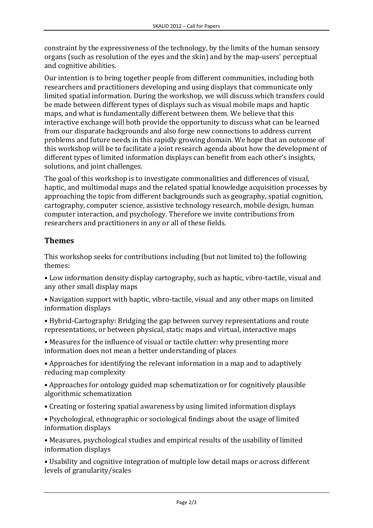constraint by the expressiveness of the technology, by the limits of the human sensory organs (such as resolution of the eyes and the skin) and by the map-users' perceptual and cognitive abilities.

Our intention is to bring together people from different communities, including both researchers and practitioners developing and using displays that communicate only limited spatial information. During the workshop, we will discuss which transfers could be made between different types of displays such as visual mobile maps and haptic maps, and what is fundamentally different between them. We believe that this interactive exchange will both provide the opportunity to discuss what can be learned from our disparate backgrounds and also forge new connections to address current problems and future needs in this rapidly growing domain. We hope that an outcome of this workshop will be to facilitate a joint research agenda about how the development of different types of limited information displays can benefit from each other's insights, solutions, and joint challenges.

The goal of this workshop is to investigate commonalities and differences of visual, haptic, and multimodal maps and the related spatial knowledge acquisition processes by approaching the topic from different backgrounds such as geography, spatial cognition, cartography, computer science, assistive technology research, mobile design, human computer interaction, and psychology. Therefore we invite contributions from researchers and practitioners in any or all of these fields.

### **Themes**

This workshop seeks for contributions including (but not limited to) the following themes:

• Low information density display cartography, such as haptic, vibro-tactile, visual and any other small display maps

• Navigation support with haptic, vibro-tactile, visual and any other maps on limited information displays

• Hybrid-Cartography: Bridging the gap between survey representations and route representations, or between physical, static maps and virtual, interactive maps

• Measures for the influence of visual or tactile clutter: why presenting more information does not mean a better understanding of places

• Approaches for identifying the relevant information in a map and to adaptively reducing map complexity

• Approaches for ontology guided map schematization or for cognitively plausible algorithmic schematization

• Creating or fostering spatial awareness by using limited information displays

• Psychological, ethnographic or sociological findings about the usage of limited information displays

• Measures, psychological studies and empirical results of the usability of limited information displays

• Usability and cognitive integration of multiple low detail maps or across different levels of granularity/scales